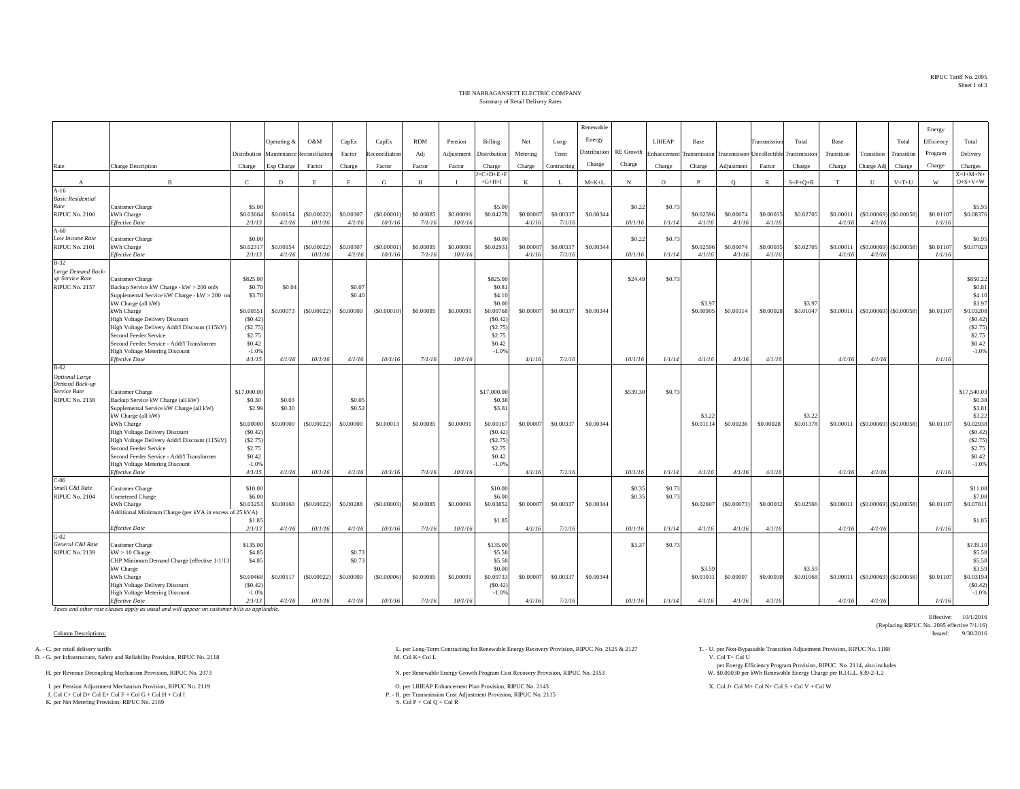RIPUC Tariff No. 2095Sheet 1 of 3

## THE NARRAGANSETT ELECTRIC COMPANYSummary of Retail Delivery Rates

|                                          |                                                                    |                     |             |                |           |                |            |              |                                 |           |             | Renewable    |                  |            |                     |              |                                         |                     |            |            |                               | Energy     |                                      |
|------------------------------------------|--------------------------------------------------------------------|---------------------|-------------|----------------|-----------|----------------|------------|--------------|---------------------------------|-----------|-------------|--------------|------------------|------------|---------------------|--------------|-----------------------------------------|---------------------|------------|------------|-------------------------------|------------|--------------------------------------|
|                                          |                                                                    |                     | Operating & | O&M            | CapEx     | CapEx          | <b>RDM</b> | Pension      | Billing                         | Net       |             | Energy       |                  | LIHEAP     | Base                |              | Transmission                            | Total               | Base       |            | Total                         | Efficiency | Total                                |
|                                          |                                                                    |                     |             |                |           |                |            |              |                                 |           | Long-       | Distribution | <b>RE</b> Growth |            |                     |              |                                         |                     |            |            |                               |            |                                      |
|                                          |                                                                    | Distribution        | Maintenance | Reconciliation | Factor    | econciliation  | Adj        | Adjustment   | Distribution                    | Metering  | Term        |              |                  | Enhancemen |                     |              | Transmission Transmission Uncollectible | Transmission        | Transition | Transition | Transition                    | Program    | Delivery                             |
| Rate                                     | <b>Charge Description</b>                                          | Charge              | Exp Charge  | Factor         | Charge    | Factor         | Factor     | Factor       | Charge                          | Charge    | Contracting | Charge       | Charge           | Charge     | Charge              | Adjustment   | Factor                                  | Charge              | Charge     | Charge Adj | Charge                        | Charge     | Charges                              |
|                                          | B                                                                  | $\mathbf{C}$        | D           | E              |           | G              | H          | $\mathbf{I}$ | $J = C + D + E + F$<br>$+G+H+I$ | K         | -L          | $M = K + L$  | $_{\rm N}$       | $\circ$    | P                   | $\circ$      | $\mathbb{R}$                            | $S = P + Q + R$     | T          | U          | $V = T + U$                   | W          | $X = J + M + N +$<br>$O + S + V + W$ |
| $\mathbf{A}$<br>$A-16$                   |                                                                    |                     |             |                |           |                |            |              |                                 |           |             |              |                  |            |                     |              |                                         |                     |            |            |                               |            |                                      |
| <b>Basic Residential</b>                 |                                                                    |                     |             |                |           |                |            |              |                                 |           |             |              |                  |            |                     |              |                                         |                     |            |            |                               |            |                                      |
| Rate                                     | Customer Charge                                                    | \$5.00              |             |                |           |                |            |              | \$5.00                          |           |             |              | \$0.22           | \$0.73     |                     |              |                                         |                     |            |            |                               |            | \$5.95                               |
| <b>RIPUC No. 2100</b>                    | kWh Charge                                                         | \$0.03664           | \$0.00154   | (S0.00022)     | \$0.00307 | (S0.00001)     | \$0.00085  | \$0.00091    | \$0.04278                       | \$0.0000  | \$0.00337   | \$0.00344    |                  |            | \$0.02596           | \$0.00074    | \$0.00035                               | \$0.02705           | \$0.00011  |            | $($ \$0.00069) $($ \$0.00058) | \$0.01107  | \$0.08376                            |
|                                          | <b>Effective Date</b>                                              | 2/1/13              | 4/1/16      | 10/1/16        | 4/1/16    | 10/1/16        | 7/1/16     | 10/1/16      |                                 | 4/1/16    | 7/1/16      |              | 10/1/16          | 1/1/14     | 4/1/16              | 4/1/16       | 4/1/16                                  |                     | 4/1/16     | 4/1/16     |                               | 1/1/16     |                                      |
| $A-60$                                   |                                                                    |                     |             |                |           |                |            |              |                                 |           |             |              |                  |            |                     |              |                                         |                     |            |            |                               |            |                                      |
| Low Income Rate<br><b>RIPUC No. 2101</b> | <b>Customer Charge</b><br>kWh Charge                               | \$0.00<br>\$0.02317 | \$0.00154   | (S0.00022)     | \$0.00307 | (S0.00001)     | \$0.00085  | \$0.00091    | \$0.00<br>\$0.02931             | \$0.0000  | \$0.00337   | \$0.00344    | \$0.22           | \$0.73     | \$0.02596           | \$0.00074    | \$0.00035                               | \$0.02705           | \$0.00011  |            | $(S0.00069)$ (\$0.00058)      | \$0.01107  | \$0.95<br>\$0.07029                  |
|                                          | <b>Effective Date</b>                                              | 2/1/1               | 4/1/16      | 10/1/16        | 4/1/16    | 10/1/16        | 7/1/16     | 10/1/16      |                                 | 4/1/16    | 7/1/16      |              | 10/1/16          | 1/1/14     | 4/1/16              | 4/1/16       | 4/1/16                                  |                     | 4/1/16     | 4/1/16     |                               | 1/1/16     |                                      |
| $B-32$                                   |                                                                    |                     |             |                |           |                |            |              |                                 |           |             |              |                  |            |                     |              |                                         |                     |            |            |                               |            |                                      |
| Large Demand Back                        |                                                                    |                     |             |                |           |                |            |              |                                 |           |             |              |                  |            |                     |              |                                         |                     |            |            |                               |            |                                      |
| up Service Rate                          | Customer Charge                                                    | \$825.00            |             |                |           |                |            |              | \$825.00                        |           |             |              | \$24.49          | \$0.7      |                     |              |                                         |                     |            |            |                               |            | \$850.22                             |
| <b>RIPUC No. 2137</b>                    | Backup Service kW Charge - kW > 200 only                           | \$0.70              | \$0.04      |                | \$0.07    |                |            |              | \$0.81                          |           |             |              |                  |            |                     |              |                                         |                     |            |            |                               |            | \$0.81                               |
|                                          | Supplemental Service kW Charge - kW > 200 or<br>kW Charge (all kW) | \$3.70              |             |                | \$0.40    |                |            |              | \$4.10<br>\$0.00                |           |             |              |                  |            | \$3.97              |              |                                         | \$3.97              |            |            |                               |            | \$4.10<br>\$3.97                     |
|                                          | kWh Charge                                                         | \$0.00551           | \$0.00073   | (S0.00022)     | \$0,00000 | (S0.00010)     | \$0.00085  | \$0,00091    | \$0.00768                       | \$0.00000 | \$0.00337   | \$0.00344    |                  |            | \$0,00905           | \$0.00114    | \$0.00028                               | \$0.01047           | \$0.00011  |            | $($ \$0.00069) $($ \$0.00058) | \$0.01107  | \$0.03208                            |
|                                          | <b>High Voltage Delivery Discount</b>                              | (S0.42)             |             |                |           |                |            |              | (S0.42)                         |           |             |              |                  |            |                     |              |                                         |                     |            |            |                               |            | (S0.42)                              |
|                                          | High Voltage Delivery Addt'l Discount (115kV)                      | (S2.75)             |             |                |           |                |            |              | (S2.75)                         |           |             |              |                  |            |                     |              |                                         |                     |            |            |                               |            | (S2.75)                              |
|                                          | Second Feeder Service                                              | \$2.75              |             |                |           |                |            |              | \$2.75                          |           |             |              |                  |            |                     |              |                                         |                     |            |            |                               |            | \$2.75                               |
|                                          | Second Feeder Service - Addt'l Transformer                         | \$0.42              |             |                |           |                |            |              | \$0.42                          |           |             |              |                  |            |                     |              |                                         |                     |            |            |                               |            | \$0.42                               |
|                                          | <b>High Voltage Metering Discount</b><br><b>Effective Date</b>     | $-1.0%$             |             |                |           |                |            |              | $-1.0%$                         |           |             |              |                  |            |                     |              |                                         |                     |            |            |                               |            | $-1.0%$                              |
| $B-62$                                   |                                                                    | 4/1/15              | 4/1/16      | 10/1/16        | 4/1/16    | 10/1/16        | 7/1/16     | 10/1/16      |                                 | 4/1/16    | 7/1/16      |              | 10/1/16          | 1/1/14     | 4/1/16              | 4/1/16       | 4/1/16                                  |                     | 4/1/16     | 4/1/16     |                               | 1/1/16     |                                      |
| <b>Optional Large</b>                    |                                                                    |                     |             |                |           |                |            |              |                                 |           |             |              |                  |            |                     |              |                                         |                     |            |            |                               |            |                                      |
| Demand Back-up                           |                                                                    |                     |             |                |           |                |            |              |                                 |           |             |              |                  |            |                     |              |                                         |                     |            |            |                               |            |                                      |
| Service Rate                             | Customer Charge                                                    | \$17,000.0          |             |                |           |                |            |              | \$17,000.00                     |           |             |              | \$539.30         | \$0.7      |                     |              |                                         |                     |            |            |                               |            | \$17,540.03                          |
| RIPUC No. 2138                           | Backup Service kW Charge (all kW)                                  | \$0.30              | \$0.03      |                | \$0.05    |                |            |              | \$0.38                          |           |             |              |                  |            |                     |              |                                         |                     |            |            |                               |            | \$0.38                               |
|                                          | Supplemental Service kW Charge (all kW)                            | \$2.99              | \$0.30      |                | \$0.52    |                |            |              | \$3.8                           |           |             |              |                  |            |                     |              |                                         |                     |            |            |                               |            | \$3.81                               |
|                                          | kW Charge (all kW)<br>kWh Charge                                   | \$0,00000           | \$0,00000   | (S0.00022)     | \$0,00000 | \$0,00013      | \$0,00085  | \$0,00091    | \$0,00167                       | \$0,0000  | \$0,00337   | \$0,00344    |                  |            | \$3.22<br>\$0.01114 | \$0,00236    | \$0,00028                               | \$3.22<br>\$0,01378 | \$0,00011  |            | $(S0,00069)$ $(S0,00058)$     | \$0,01107  | \$3.22<br>\$0.02938                  |
|                                          | <b>High Voltage Delivery Discount</b>                              | (S0.42)             |             |                |           |                |            |              | (S0.42)                         |           |             |              |                  |            |                     |              |                                         |                     |            |            |                               |            | (S0.42)                              |
|                                          | High Voltage Delivery Addt'l Discount (115kV)                      | (S2.75)             |             |                |           |                |            |              | (S2.75)                         |           |             |              |                  |            |                     |              |                                         |                     |            |            |                               |            | (S2.75)                              |
|                                          | Second Feeder Service                                              | \$2.75              |             |                |           |                |            |              | \$2.75                          |           |             |              |                  |            |                     |              |                                         |                     |            |            |                               |            | \$2.75                               |
|                                          | Second Feeder Service - Addt'l Transformer                         | \$0.42              |             |                |           |                |            |              | \$0.42                          |           |             |              |                  |            |                     |              |                                         |                     |            |            |                               |            | \$0.42                               |
|                                          | High Voltage Metering Discount                                     | $-1.0%$             |             |                |           |                |            |              | $-1.0%$                         |           |             |              |                  |            |                     |              |                                         |                     |            |            |                               |            | $-1.0%$                              |
|                                          | <b>Effective Date</b>                                              | 4/1/15              | 4/1/16      | 10/1/16        | 4/1/16    | 10/1/16        | 7/1/16     | 10/1/16      |                                 | 4/1/16    | 7/1/16      |              | 10/1/16          | 1/1/14     | 4/1/16              | 4/1/16       | 4/1/16                                  |                     | 4/1/16     | 4/1/16     |                               | 1/1/16     |                                      |
| $C-06$<br>Small C&I Rate                 | Customer Charge                                                    | \$10.00             |             |                |           |                |            |              | \$10.00                         |           |             |              | \$0.35           | \$0.73     |                     |              |                                         |                     |            |            |                               |            | \$11.08                              |
| <b>RIPUC No. 2104</b>                    | <b>Unmetered Charge</b>                                            | \$6.00              |             |                |           |                |            |              | \$6.00                          |           |             |              | \$0.35           | \$0.73     |                     |              |                                         |                     |            |            |                               |            | \$7.08                               |
|                                          | kWh Charge                                                         | \$0,03253           | \$0.00160   | (S0.00022)     | \$0,00288 | (S0,00003)     | \$0,00085  | \$0,00091    | \$0.03852                       | \$0.0000  | \$0.00337   | \$0,00344    |                  |            | \$0.02607           | ( \$0.00073) | \$0,00032                               | \$0,02566           | \$0,00011  |            | $($ \$0.00069) $($ \$0.00058) | \$0,01107  | \$0.07811                            |
|                                          | Additional Minimum Charge (per kVA in excess of 25 kVA)            |                     |             |                |           |                |            |              |                                 |           |             |              |                  |            |                     |              |                                         |                     |            |            |                               |            |                                      |
|                                          |                                                                    | \$1.85              |             |                |           |                |            |              | \$1.85                          |           |             |              |                  |            |                     |              |                                         |                     |            |            |                               |            | \$1.85                               |
|                                          | <b>Effective Date</b>                                              | 2/1/13              | 4/1/16      | 10/1/16        | 4/1/16    | 10/1/16        | 7/1/16     | 10/1/16      |                                 | 4/1/16    | 7/1/16      |              | 10/1/16          | 1/1/14     | 4/1/16              | 4/1/16       | 4/1/16                                  |                     | 4/1/16     | 4/1/16     |                               | 1/1/16     |                                      |
| G-02<br>General C&I Rate                 | <b>Customer Charge</b>                                             | \$135.00            |             |                |           |                |            |              | \$135.00                        |           |             |              | \$3.37           | \$0.73     |                     |              |                                         |                     |            |            |                               |            | \$139.10                             |
| <b>RIPUC No. 2139</b>                    | $kW > 10$ Charge                                                   | \$4.85              |             |                | \$0.73    |                |            |              | \$5.58                          |           |             |              |                  |            |                     |              |                                         |                     |            |            |                               |            | \$5.58                               |
|                                          | CHP Minimum Demand Charge (effective 1/1/13                        | \$4.85              |             |                | \$0.73    |                |            |              | \$5.58                          |           |             |              |                  |            |                     |              |                                         |                     |            |            |                               |            | \$5.58                               |
|                                          | kW Charge                                                          |                     |             |                |           |                |            |              | \$0.00                          |           |             |              |                  |            | \$3.59              |              |                                         | \$3.59              |            |            |                               |            | \$3.59                               |
|                                          | kWh Charge                                                         | \$0,00468           | \$0.00117   | (S0.00022)     | \$0,00000 | $($ \$0,00006) | \$0,00085  | \$0,00091    | \$0.00733                       | \$0.0000  | \$0.00337   | \$0,00344    |                  |            | \$0.01031           | \$0.00007    | \$0.00030                               | \$0.01068           | \$0.00011  |            | $($ \$0.00069) $($ \$0.00058) | \$0.01107  | \$0.03194                            |
|                                          | <b>High Voltage Delivery Discount</b>                              | (S0.42)             |             |                |           |                |            |              | (S0.42)                         |           |             |              |                  |            |                     |              |                                         |                     |            |            |                               |            | (S0.42)                              |
|                                          | <b>High Voltage Metering Discount</b><br><b>Effective Date</b>     | $-1.0%$<br>2/1/13   | 4/1/16      | 10/1/16        | 4/1/16    | 10/1/16        | 7/1/16     | 10/1/16      | $-1.0%$                         | 4/1/16    | 7/1/16      |              | 10/1/16          | 1/1/14     | 4/1/16              | 4/1/16       | 4/1/16                                  |                     | 4/1/16     | 4/1/16     |                               | 1/1/16     | $-1.0%$                              |
|                                          |                                                                    |                     |             |                |           |                |            |              |                                 |           |             |              |                  |            |                     |              |                                         |                     |            |            |                               |            |                                      |

*Taxes and other rate clauses apply as usual and will appear on customer bills as applicable.*

D. - G. per Infrastructure, Safety and Reliability Provision, RIPUC No. 2118

I. per Pension Adjustment Mechanism Provision, RIPUC No. 2119 O. per LIHEAP Enhancement Plan Provision, RIPUC No. 2143 X. Col J+ Col M+ Col N+ Col S + Col V + Col W

J. Col C+ Col D+ Col E+ Col F + Col G + Col H + Col IK. per Net Metering Provision, RIPUC No. 2169

A. - C. per retail delivery tariffs Adjustment Provision, RIPUC No. 2118<br>
D. - G. per Long-Term Contracting for Renewable Energy Recovery Provision, RIPUC No. 2125 & 2127 T. - U. per Non-Bypassable Transition Adjustment Pr

H. per Renewable Energy Growth Program Cost Recovery Provision, RIPUC No. 2153 N. per Renewable Energy Growth Program Cost Recovery Provision, RIPUC No. 2153

P. - R. per Transmission Cost Adjustment Provision, RIPUC No. 2115<br>S. Col P + Col Q + Col R

per Energy Efficiency Program Provision, RIPUC No. 2114, also includes \$0.00030 per kWh Renewable Energy Charge per R.I.G.L. §39-2-1.2

Effective: 10/1/2016 (Replacing RIPUC No. 2095 effective 7/1/16)<br>Issued: 9/30/2016 Column Descriptions: Issued: 9/30/2016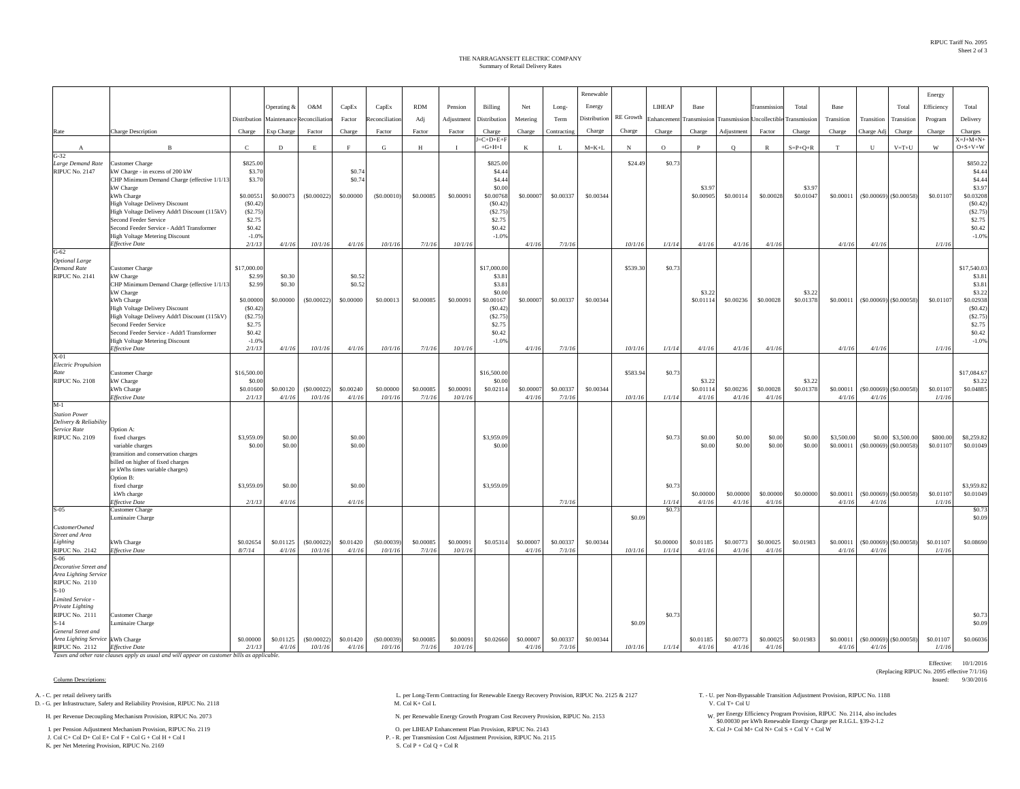Effective: 10/1/2016

(Replacing RIPUC No. 2095 effective 7/1/16)

## Summary of Retail Delivery Rates THE NARRAGANSETT ELECTRIC COMPANY

|                                                        |                                                                      |                     |                     |                       |                     |                      |                     |                      |                     |                     |                     | Renewable    |          |                       |                     |                            |                     |                 |                     |                      |                               | Energy              |                   |
|--------------------------------------------------------|----------------------------------------------------------------------|---------------------|---------------------|-----------------------|---------------------|----------------------|---------------------|----------------------|---------------------|---------------------|---------------------|--------------|----------|-----------------------|---------------------|----------------------------|---------------------|-----------------|---------------------|----------------------|-------------------------------|---------------------|-------------------|
|                                                        |                                                                      |                     | Operating &         | O&M                   | CapEx               | CapEx                | <b>RDM</b>          | Pension              | Billing             | Net                 | Long-               | Energy       |          | LIHEAP                | Base                |                            | <b>Transmissi</b>   | Total           | Base                |                      | Total                         | Efficiency          | Total             |
|                                                        |                                                                      | Distribution        | Maintenance         | <b>Reconciliation</b> | Factor              | econciliation        | Adj                 | Adjustment           | Distribution        | Metering            | Term                | Distribution |          | RE Growth Enhancement | Transmission        | Transmission Uncollectible |                     | Transmission    | Transition          | Transition           | Transition                    | Program             | Delivery          |
| Rate                                                   | Charge Description                                                   | Charge              | Exp Charge          | Factor                | Charge              | Factor               | Factor              | Factor               | Charge              | Charge              | Contracting         | Charge       | Charge   | Charge                | ${\it Charge}$      | Adjustment                 | Factor              | Charge          | Charge              | Charge Ad            | Charge                        | Charge              | Charges           |
|                                                        |                                                                      |                     |                     |                       |                     |                      |                     |                      | $E = C + D + E + F$ |                     |                     |              |          |                       |                     |                            |                     |                 |                     |                      |                               |                     | $X = J + M + N +$ |
| $\mathbf{A}$                                           | $\mathbf{B}$                                                         | $\mathbf{C}$        | D                   | E                     | F                   | G                    | H                   | $\mathbf{I}$         | $+G+H+I$            | K                   | л.                  | $M = K + L$  | N        | $\circ$               | $\mathbf{P}$        | $\circ$                    | $\mathbb{R}$        | $S = P + Q + R$ | T                   | U                    | $V = T + U$                   | W                   | $O + S + V + W$   |
| $G-32$<br>Large Demand Rate                            | Customer Charge                                                      | \$825.00            |                     |                       |                     |                      |                     |                      | \$825.00            |                     |                     |              | \$24.49  | \$0.73                |                     |                            |                     |                 |                     |                      |                               |                     | \$850.2           |
| <b>RIPUC No. 2147</b>                                  | kW Charge - in excess of 200 kW                                      | \$3.70              |                     |                       | \$0.74              |                      |                     |                      | \$4.4               |                     |                     |              |          |                       |                     |                            |                     |                 |                     |                      |                               |                     | \$4.44            |
|                                                        | CHP Minimum Demand Charge (effective 1/1/13<br>kW Charge             | \$3.70              |                     |                       | \$0.74              |                      |                     |                      | \$4.44<br>\$0.00    |                     |                     |              |          |                       | \$3.97              |                            |                     | \$3.97          |                     |                      |                               |                     | \$4.44<br>\$3.97  |
|                                                        | kWh Charge                                                           | \$0.0055            | \$0.00073           | (S0.00022)            | \$0.00000           | (S0.00010)           | \$0.00085           | \$0.00091            | \$0.00768           | \$0.00007           | \$0.00337           | \$0.00344    |          |                       | \$0.00905           | \$0.00114                  | \$0.00028           | \$0.01047       | \$0.00011           | ( \$0.00069]         | (S0.00058)                    | \$0.01107           | \$0.03208         |
|                                                        | <b>High Voltage Delivery Discount</b>                                | (S0.42)             |                     |                       |                     |                      |                     |                      | (S0.42)             |                     |                     |              |          |                       |                     |                            |                     |                 |                     |                      |                               |                     | (S0.42)           |
|                                                        | High Voltage Delivery Addt'l Discount (115kV)                        | (S2.75)             |                     |                       |                     |                      |                     |                      | (S2.75)             |                     |                     |              |          |                       |                     |                            |                     |                 |                     |                      |                               |                     | (S2.75)           |
|                                                        | Second Feeder Service<br>Second Feeder Service - Addt'l Transformer  | \$2.75<br>\$0.42    |                     |                       |                     |                      |                     |                      | \$2.75<br>\$0.42    |                     |                     |              |          |                       |                     |                            |                     |                 |                     |                      |                               |                     | \$2.75<br>\$0.42  |
|                                                        | <b>High Voltage Metering Discount</b>                                | $-1.0%$             |                     |                       |                     |                      |                     |                      | $-1.0%$             |                     |                     |              |          |                       |                     |                            |                     |                 |                     |                      |                               |                     | $-1.0%$           |
|                                                        | <b>Effective Date</b>                                                | 2/1/13              | 4/1/16              | 10/1/16               | 4/1/16              | 10/1/16              | 7/1/16              | 10/1/16              |                     | 4/1/16              | 7/1/16              |              | 10/1/16  | 1/1/14                | 4/1/16              | 4/1/16                     | 4/1/16              |                 | 4/1/16              | 4/1/16               |                               | 1/1/16              |                   |
| $G-62$<br><b>Optional Large</b>                        |                                                                      |                     |                     |                       |                     |                      |                     |                      |                     |                     |                     |              |          |                       |                     |                            |                     |                 |                     |                      |                               |                     |                   |
| <b>Demand Rate</b>                                     | Customer Charge                                                      | \$17,000.0          |                     |                       |                     |                      |                     |                      | \$17,000.0          |                     |                     |              | \$539.30 | \$0.73                |                     |                            |                     |                 |                     |                      |                               |                     | \$17,540.03       |
| <b>RIPUC No. 2141</b>                                  | kW Charge                                                            | \$2.99              | \$0.30              |                       | \$0.52              |                      |                     |                      | \$3.8               |                     |                     |              |          |                       |                     |                            |                     |                 |                     |                      |                               |                     | \$3.8             |
|                                                        | CHP Minimum Demand Charge (effective 1/1/13<br>kW Charge             | \$2.99              | \$0.30              |                       | \$0.52              |                      |                     |                      | \$3.81<br>\$0.00    |                     |                     |              |          |                       | \$3.22              |                            |                     | \$3.23          |                     |                      |                               |                     | \$3.81<br>\$3.22  |
|                                                        | kWh Charge                                                           | \$0,00000           | \$0.00000           | (S0.00022)            | \$0.00000           | \$0,00013            | \$0.00085           | \$0,00091            | \$0.00167           | \$0,00007           | \$0.00337           | \$0.00344    |          |                       | \$0,01114           | \$0.00236                  | \$0,00028           | \$0.01378       | \$0.00011           |                      | $($ \$0.00069) $($ \$0.00058) | \$0.01107           | \$0.02938         |
|                                                        | High Voltage Delivery Discount                                       | (S0.42)             |                     |                       |                     |                      |                     |                      | (S0.42)             |                     |                     |              |          |                       |                     |                            |                     |                 |                     |                      |                               |                     | (S0.42)           |
|                                                        | High Voltage Delivery Addt'l Discount (115kV)                        | (S2.75)             |                     |                       |                     |                      |                     |                      | (S2.75)             |                     |                     |              |          |                       |                     |                            |                     |                 |                     |                      |                               |                     | (S2.75)           |
|                                                        | Second Feeder Service<br>Second Feeder Service - Addt'l Transformer  | \$2.75<br>\$0.42    |                     |                       |                     |                      |                     |                      | \$2.75<br>\$0.42    |                     |                     |              |          |                       |                     |                            |                     |                 |                     |                      |                               |                     | \$2.75<br>\$0.42  |
|                                                        | High Voltage Metering Discount                                       | $-1.0%$             |                     |                       |                     |                      |                     |                      | $-1.0%$             |                     |                     |              |          |                       |                     |                            |                     |                 |                     |                      |                               |                     | $-1.0%$           |
|                                                        | <b>Effective Date</b>                                                | 2/1/13              | 4/1/16              | 10/1/16               | 4/1/16              | 10/1/16              | 7/1/16              | 10/1/16              |                     | 4/1/16              | 7/1/16              |              | 10/1/16  | 1/1/14                | 4/1/16              | 4/1/16                     | 4/1/16              |                 | 4/1/16              | 4/1/16               |                               | 1/1/16              |                   |
| $X-01$<br><b>Electric Propulsion</b>                   |                                                                      |                     |                     |                       |                     |                      |                     |                      |                     |                     |                     |              |          |                       |                     |                            |                     |                 |                     |                      |                               |                     |                   |
| Rate                                                   | Customer Charge                                                      | \$16,500.00         |                     |                       |                     |                      |                     |                      | \$16,500.00         |                     |                     |              | \$583.94 | \$0.73                |                     |                            |                     |                 |                     |                      |                               |                     | \$17,084.67       |
| <b>RIPUC No. 2108</b>                                  | kW Charge                                                            | \$0.0               |                     |                       |                     |                      |                     |                      | \$0.0               |                     |                     |              |          |                       | \$3.22              |                            |                     | \$3.22          |                     |                      |                               |                     | \$3.23            |
|                                                        | kWh Charge<br>Effective Date                                         | \$0,01600<br>2/1/13 | \$0,00120<br>4/1/16 | (S0.00022)<br>10/1/16 | \$0,00240<br>4/1/16 | \$0,00000<br>10/1/16 | \$0,00085<br>7/1/16 | \$0,00091<br>10/1/16 | \$0.02114           | \$0,00007<br>4/1/16 | \$0,00337<br>7/1/16 | \$0,00344    | 10/1/16  | 1/1/14                | \$0,01114<br>4/1/16 | \$0,00236<br>4/1/16        | \$0,00028<br>4/1/16 | \$0,01378       | \$0,00011<br>4/1/16 | 4/1/16               | $(S0.00069)$ $(S0.00058)$     | \$0,01107<br>1/1/16 | \$0,04885         |
| $M-1$                                                  |                                                                      |                     |                     |                       |                     |                      |                     |                      |                     |                     |                     |              |          |                       |                     |                            |                     |                 |                     |                      |                               |                     |                   |
| <b>Station Power</b>                                   |                                                                      |                     |                     |                       |                     |                      |                     |                      |                     |                     |                     |              |          |                       |                     |                            |                     |                 |                     |                      |                               |                     |                   |
| Delivery & Reliability<br>Service Rate                 | Option A:                                                            |                     |                     |                       |                     |                      |                     |                      |                     |                     |                     |              |          |                       |                     |                            |                     |                 |                     |                      |                               |                     |                   |
| <b>RIPUC No. 2109</b>                                  | fixed charges                                                        | \$3,959.09          | \$0.00              |                       | \$0.00              |                      |                     |                      | \$3,959.09          |                     |                     |              |          | \$0.73                | \$0.00              | \$0.00                     | \$0.00              | \$0.00          | \$3,500.00          | \$0.00               | \$3,500.00                    | \$800.00            | \$8,259.82        |
|                                                        | variable charges                                                     | \$0.00              | \$0.00              |                       | \$0.00              |                      |                     |                      | \$0.00              |                     |                     |              |          |                       | \$0.00              | \$0.00                     | \$0.00              | \$0.00          | \$0.00011           |                      | $($ \$0.00069) $($ \$0.00058) | \$0.01107           | \$0.01049         |
|                                                        | (transition and conservation charges                                 |                     |                     |                       |                     |                      |                     |                      |                     |                     |                     |              |          |                       |                     |                            |                     |                 |                     |                      |                               |                     |                   |
|                                                        | billed on higher of fixed charges<br>or kWhs times variable charges) |                     |                     |                       |                     |                      |                     |                      |                     |                     |                     |              |          |                       |                     |                            |                     |                 |                     |                      |                               |                     |                   |
|                                                        | Option B:                                                            |                     |                     |                       |                     |                      |                     |                      |                     |                     |                     |              |          |                       |                     |                            |                     |                 |                     |                      |                               |                     |                   |
|                                                        | fixed charge                                                         | \$3,959.09          | \$0.00              |                       | \$0.00              |                      |                     |                      | \$3,959.09          |                     |                     |              |          | \$0.73                |                     |                            |                     |                 |                     |                      |                               |                     | \$3,959.82        |
|                                                        | kWh charge<br>Effective Date                                         | 2/1/13              | 4/1/16              |                       | 4/1/16              |                      |                     |                      |                     |                     | 7/1/16              |              |          | 1/1/14                | \$0.00000<br>4/1/16 | \$0.00000<br>4/1/16        | \$0.00000<br>4/1/16 | \$0.00000       | \$0.00011<br>4/1/16 | (\$0.00069<br>4/1/16 | (S0.00058)                    | \$0.01107<br>1/1/16 | \$0.01049         |
| $S-0.5$                                                | <b>Customer Charge</b>                                               |                     |                     |                       |                     |                      |                     |                      |                     |                     |                     |              |          | \$0.7                 |                     |                            |                     |                 |                     |                      |                               |                     | \$0.73            |
|                                                        | Luminaire Charge                                                     |                     |                     |                       |                     |                      |                     |                      |                     |                     |                     |              | \$0.09   |                       |                     |                            |                     |                 |                     |                      |                               |                     | \$0.09            |
| <b>CustomerOwned</b><br><b>Street and Area</b>         |                                                                      |                     |                     |                       |                     |                      |                     |                      |                     |                     |                     |              |          |                       |                     |                            |                     |                 |                     |                      |                               |                     |                   |
| Lighting                                               | kWh Charge                                                           | \$0.02654           | \$0.01125           | (\$0.00022)           | \$0.01420           | $($ \$0,00039)       | \$0,00085           | \$0,00091            | \$0.05314           | \$0.00007           | \$0.00337           | \$0.00344    |          | \$0,00000             | \$0.01185           | \$0,00773                  | \$0.00025           | \$0.01983       | \$0.00011           | (S0.00069)           | (S0.00058)                    | \$0.01107           | \$0.08690         |
| <b>RIPUC No. 2142</b>                                  | <b>Effective Date</b>                                                | 8/7/14              | 4/1/16              | 10/1/16               | 4/1/16              | 10/1/16              | 7/1/16              | 10/1/16              |                     | 4/1/16              | 7/1/16              |              | 10/1/16  | 1/1/14                | 4/1/16              | 4/1/16                     | 4/1/16              |                 | 4/1/16              | 4/1/16               |                               | 1/1/16              |                   |
| S-06<br>Decorative Street and                          |                                                                      |                     |                     |                       |                     |                      |                     |                      |                     |                     |                     |              |          |                       |                     |                            |                     |                 |                     |                      |                               |                     |                   |
| Area Lighting Service                                  |                                                                      |                     |                     |                       |                     |                      |                     |                      |                     |                     |                     |              |          |                       |                     |                            |                     |                 |                     |                      |                               |                     |                   |
| <b>RIPUC No. 2110</b>                                  |                                                                      |                     |                     |                       |                     |                      |                     |                      |                     |                     |                     |              |          |                       |                     |                            |                     |                 |                     |                      |                               |                     |                   |
| $S-10$                                                 |                                                                      |                     |                     |                       |                     |                      |                     |                      |                     |                     |                     |              |          |                       |                     |                            |                     |                 |                     |                      |                               |                     |                   |
| Limited Service -<br>Private Lighting                  |                                                                      |                     |                     |                       |                     |                      |                     |                      |                     |                     |                     |              |          |                       |                     |                            |                     |                 |                     |                      |                               |                     |                   |
| <b>RIPUC No. 2111</b>                                  | <b>Customer Charge</b>                                               |                     |                     |                       |                     |                      |                     |                      |                     |                     |                     |              |          | \$0.73                |                     |                            |                     |                 |                     |                      |                               |                     | \$0.7             |
| $S-14$                                                 | Luminaire Charge                                                     |                     |                     |                       |                     |                      |                     |                      |                     |                     |                     |              | \$0.09   |                       |                     |                            |                     |                 |                     |                      |                               |                     | \$0.09            |
| General Street and<br>Area Lighting Service kWh Charge |                                                                      | \$0.00000           | \$0.01125           | (S0.00022)            | \$0.01420           | $($ \$0.00039)       | \$0.00085           | \$0.00091            | \$0.02660           | \$0.00007           | \$0.00337           | \$0.00344    |          |                       | \$0.01185           | \$0.00773                  | \$0.00025           | \$0.01983       | \$0.00011           |                      | $($ \$0.00069) $($ \$0.00058) | \$0.01107           | \$0.06036         |
| RIPUC No. 2112 Effective Date                          |                                                                      | 2/1/13              | 4/1/16              | 10/1/16               | 4/1/16              | 10/1/16              | 7/1/16              | 10/1/16              |                     | 4/1/16              | 7/1/16              |              | 10/1/16  | 1/1/14                | 4/1/16              | 4/1/16                     | 4/1/16              |                 | 4/1/16              | 4/1/16               |                               | 1/1/16              |                   |

*Taxes and other rate clauses apply as usual and will appear on customer bills as applicable.*

## Column Descriptions: Issued: 9/30/2016

D. - G. per Infrastructure, Safety and Reliability Provision, RIPUC No. 2118

I. per Pension Adjustment Mechanism Provision, RIPUC No. 2119 **Cal Attack Coll Attack Coll Attack Coll Attack Coll Attack Coll Attack Coll Attack Coll Attack Coll Attack Coll A+ Col 2143 Col M+ Col M+ Col M+ Col V + Col W+** J. Col C+ Col D+ Col E+ Col F + Col G + Col H + Col I

K. per Net Metering Provision, RIPUC No. 2169

H. per Renewable Energy Growth Program Cost Recovery Provision, RIPUC No. 2153 N. per Renewable Energy Growth Program Cost Recovery Provision, RIPUC No. 2153

P. - R. per Transmission Cost Adjustment Provision, RIPUC No. 2115<br>S. Col P + Col Q + Col R

A. - C. per retail delivery tariffs Adjustment Provision, RIPUC No. 2118 L. per Long-Term Contracting for Renewable Energy Recovery Provision, RIPUC No. 2125 & 2127 T. - U. per Non-Bypassable Transition Adjustment Provisio

per Energy Efficiency Program Provision, RIPUC No. 2114, also includes \$0.00030 per kWh Renewable Energy Charge per R.I.G.L. §39-2-1.2